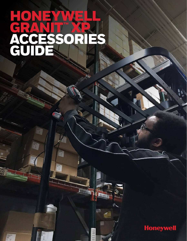# HONEYWELL GRANIT "XP ACCESSORIES GUID

le -

11111

a

E

F



A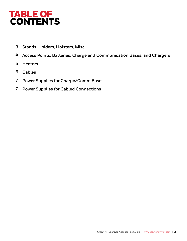## TABLE OF CONTENTS

- **3 Stands, Holders, Holsters, Misc**
- **4 Access Points, Batteries, Charge and Communication Bases, and Chargers**
- **5 Heaters**
- **6 Cables**
- **7 Power Supplies for Charge/Comm Bases**
- **7 Power Supplies for Cabled Connections**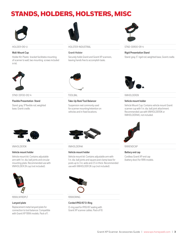## STANDS, HOLDERS, HOLSTERS, MISC



### **Wall-Mount Cup**

Holder Kit: Plastic bracket facilitates mounting of scanner to wall; two mounting screws included in kit.



### HOLDER-010-U HOLSTER-INDUSTRIAL STND-30R00-011-4

### **Granit Holster**

Securely holds Granit and Granit XP scanners, leaving hands free to accomplish tasks.



### **Rigid Presentation Stand**

Stand: gray, 5" rigid rod, weighted base, Granit cradle.



STND-33F00-012-4 TOOLBAL TOOLBAL TOOLBAL VMHOLDER2K

### **Flexible Presentation Stand**

Stand: gray, 9"flexible rod, weighted base, Granit cradle.



### **Take-Up Reel/Tool Balancer**

Suspension reel commonly used for scanner mounting/retention on vehicles and in fixed locations.



### **Vehicle mount holder**

Vehicle Mount Cup: Contains vehicle mount Granit scanner cup with 1 in. dia. ball joint attachment. Recommended use with VMHOLDER3K or VMHOLDER4K), not included.



### **Vehicle mount holder**

Vehicle mount kit: Contains adjustable arm with 1 in. dia. ball joints and circular mounting plate. Recommended use with VMHOLDER 2K cup (not included).



199XILNYRDPLT 199XIORING

### **Lanyard plate**

Replacement metal lanyard plate for connection to tool balancer. Compatible with Granit XP 199Xi models. Pack of 1.



VMHOLDER3K VMHOLDER4K 1991IENDCAP

### **Vehicle mount holder**

Vehicle mount kit: Contains adjustable arm with 1 in. dia. ball joints and square post clamp base for posts up to 3 in. wide and 2.5 in thick. Recommended use with VMHOLDER 2K cup (not included).



### **Corded IP65/67 O-Ring**

O-ring seal for IP65/67 sealing with Granit XP scanner cables. Pack of 10.



### **Battery end cap**

Cordless Granit XP end cap (battery door) for 1991i models.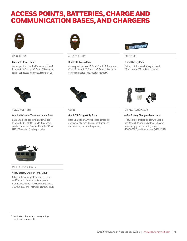## ACCESS POINTS, BATTERIES, CHARGE AND COMMUNICATION BASES, AND CHARGERS



### **Bluetooth Access Point**

Access point for Granit XP scanners. Class 1 Bluetooth, 100m, up to 3 Granit XP scanners can be connected (cables sold separately).



### AP-100BT-07N AP-05-100BT-07N BAT-SCN05

### **Bluetooth Access Point**

Access point for Granit XP and Granit 1981i scanners. Class 1 Bluetooth, 100m, up to 3 Granit XP scanners can be connected (cables sold separately).



### **Smart Battery Pack**

Battery: Lithium-ion battery for Granit XP and Xenon XP cordless scanners.



### **Granit XP Charge/Communication Base**

Base: Charge and communication. Class 1 Bluetooth. 100m (300'), up to 3 scanners can be connected. Compatible with RS232/ USB/KBW cables (sold separately).



### **Granit XP Charge Only Base**

Base: Charge only. Only one scanner can be connected at a time. Power supply required and must be purchased separately.



CCB22-100BT-03N COB22 COB22 MB4-BAT-SCN01XXD06<sup>1</sup>

### **4-Bay Battery Charger – Desk Mount**

4-bay battery charger for use with Granit and Xenon Lithium-ion batteries, desktop power supply, two mounting screws (100006897), and instructions (MBC-INST).



MB4-BAT-SCN01XXW061

### **4-Bay Battery Charger – Wall Mount**

4-bay battery charger for use with Granit and Xenon lithium-ion batteries, wallmount power supply, two mounting screws (100006897), and instructions (MBC-INST).

1. Indicates characters designating regional configuration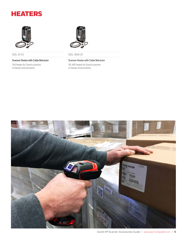## **HEATERS**



### **Scanner Heater with Cable Retractor**

24V heater for Granit scanners in freezer environments.



520L-24-S3 520L-3648-S3

### **Scanner Heater with Cable Retractor**

36-48V heater for Granit scanners in freezer environments.

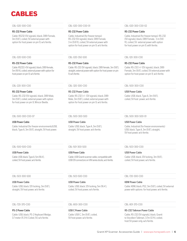## **CABLES**

### **RS-232 Power Cable**

Cable: RS232 (5V signals), black, DB9 Female, 3m (9.8'), coiled, 5V external power with option for host power on pin 9, w/o ferrite.

### **RS-232 Power Cable**

Cable: RS232 (+5V signals); black, DB9 female, 5m (16 ft), coiled, external power with option for host power on pin 9, w/o ferrite.

### **RS-232 Power Cable**

Cable: RS-232 (5V signals), black, DB9 Male, 3m (9.8'), coiled, external power with option for host power on pin 9, Wincor Beetle.

### **USB Power Cable**

Cable: Industrial (for freezer environments)USB, black, Type A, 3m (9.8'), straight, 5V host power.

### **RS-232 Power Cable**

Cable, Industrial (for freezer temps): RS-232 (5V signals), black, DB9 Female, 3 m (9.8 ft), coiled, 5V external power with option for host power on pin 9, w/o ferrite.

### CBL-020-500-C00 CBL-020-350-S00 CBL-120-300-C00

### **RS-232 Power Cable**

Cable: RS-232 (5V signals), black, DB9 female, 3m (9.8'), straight, external power with option for host power on pin 9, w/o ferrite.

### **RS-232 Power Cable**

Cable: RS-232 (+/- 12V signals), black, DB9 Male, 3m (9.8'), coiled, external power with option for host power on pin 9, w/o ferrite.

### **USB Power Cable** Cable: USB, black, Type A, 3m (9.8'),

straight, 5V host power, w/o ferrite.

**USB Power Cable**

Cable: USB, black, Type A, 5m (16.4'), coiled, 5V host power, w/o ferrite.

### **USB Power Cable**

**PS-2 Power Cable**

Cable: USB, black, 12V locking, 3m (9.8'), straight, 5V host power, w/o ferrite.

Cable: USB, black, PS-2 Keyboard Wedge, 3.7 meter (11.3 ft) Coiled, 5V, w/o ferrite.

### **USB Power Cable**

Cable: USB Granit scanner cable, compatible with USB D9 connectors on VM series docks, w/o ferrite.

### CBL-503-300-S00 CBL-503-500-C00 CBL-720-300-C00

### **USB Power Cable**

### Cable, USB, black, 12V locking, 5m (16.4'), coiled, 5V host power, w/o ferrite.

CBL-720-370-C00 CBL-800-300-C00 CBL-801-370-C00

### **USB C Power Cable** Cable: USB C, 3m (9.8'), coiled, 5V host power, w/o ferrite.

### CBL-020-300-C00 CBL-020-300-C00-01 CBL-020-300-C00-02

### **RS-232 Power Cable**

Cable, Industrial (for freezer temps): RS-232 (5V signals), black, DB9 Female, 3 m (9.8 ft), coiled, 5V external power with option for host power on pin 9, with ferrite.

### **RS-232 Power Cable**

Cable: RS-232 (+/-12V signals), black, DB9 Female, 3m (9.8'), coiled, 5V external power with option for host power on pin 9, w/o ferrite.

### CBL-220-300-C00 CBL-320-300-C00 CBL-500-300-C00

### **USB Power Cable**

Cable: USB, black, Type A, 3m (9.8'), coiled, 5V host power, w/o ferrite.

### CBL-500-300-C00-07 CBL-500-300-S00 CBL-500-300-S00-01

### **USB Power Cable**

Cable, Industrial (for freezer environments) USB, black, Type A, 3m (9.8'), straight, 5V host power, w/o ferrite.

### CBL-500-500-C00 CBL-501-300-S00 CBL-503-300-C00

### **USB Power Cable**

Cable: USB, black, 12V locking, 3m (9.8'), coiled, 5V host power, w/o ferrite.

### **KBW Power Cable**

Cable: KBW, black, PS2, 3m (9.8'), coiled, 5V external power with options for host power, w/o ferrite.

### **RS-232 Talkman Power Cable**

Cable, RS-232 (5V signals), black, Granit to Vocollect Talkman, 3.7m (12 ft), coiled, host 5V power only, w/o ferrite.